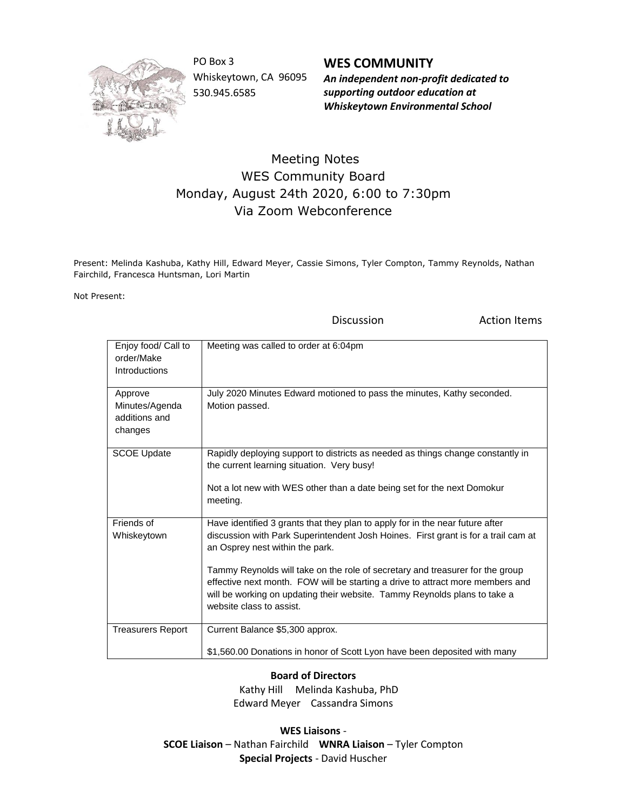

PO Box 3 Whiskeytown, CA 96095 530.945.6585

**WES COMMUNITY** *An independent non-profit dedicated to supporting outdoor education at Whiskeytown Environmental School*

## Meeting Notes WES Community Board Monday, August 24th 2020, 6:00 to 7:30pm Via Zoom Webconference

Present: Melinda Kashuba, Kathy Hill, Edward Meyer, Cassie Simons, Tyler Compton, Tammy Reynolds, Nathan Fairchild, Francesca Huntsman, Lori Martin

Not Present:

Discussion **Action Items** 

| Enjoy food/ Call to<br>order/Make<br>Introductions    | Meeting was called to order at 6:04pm                                                                                                                                                                                                                                                                                                                                                                                                                                              |
|-------------------------------------------------------|------------------------------------------------------------------------------------------------------------------------------------------------------------------------------------------------------------------------------------------------------------------------------------------------------------------------------------------------------------------------------------------------------------------------------------------------------------------------------------|
| Approve<br>Minutes/Agenda<br>additions and<br>changes | July 2020 Minutes Edward motioned to pass the minutes, Kathy seconded.<br>Motion passed.                                                                                                                                                                                                                                                                                                                                                                                           |
| <b>SCOE Update</b>                                    | Rapidly deploying support to districts as needed as things change constantly in<br>the current learning situation. Very busy!<br>Not a lot new with WES other than a date being set for the next Domokur<br>meeting.                                                                                                                                                                                                                                                               |
| Friends of<br>Whiskeytown                             | Have identified 3 grants that they plan to apply for in the near future after<br>discussion with Park Superintendent Josh Hoines. First grant is for a trail cam at<br>an Osprey nest within the park.<br>Tammy Reynolds will take on the role of secretary and treasurer for the group<br>effective next month. FOW will be starting a drive to attract more members and<br>will be working on updating their website. Tammy Reynolds plans to take a<br>website class to assist. |
| <b>Treasurers Report</b>                              | Current Balance \$5,300 approx.<br>\$1,560.00 Donations in honor of Scott Lyon have been deposited with many                                                                                                                                                                                                                                                                                                                                                                       |

## **Board of Directors**

 Kathy Hill Melinda Kashuba, PhD Edward Meyer Cassandra Simons

**WES Liaisons** - **SCOE Liaison** – Nathan Fairchild **WNRA Liaison** – Tyler Compton **Special Projects** - David Huscher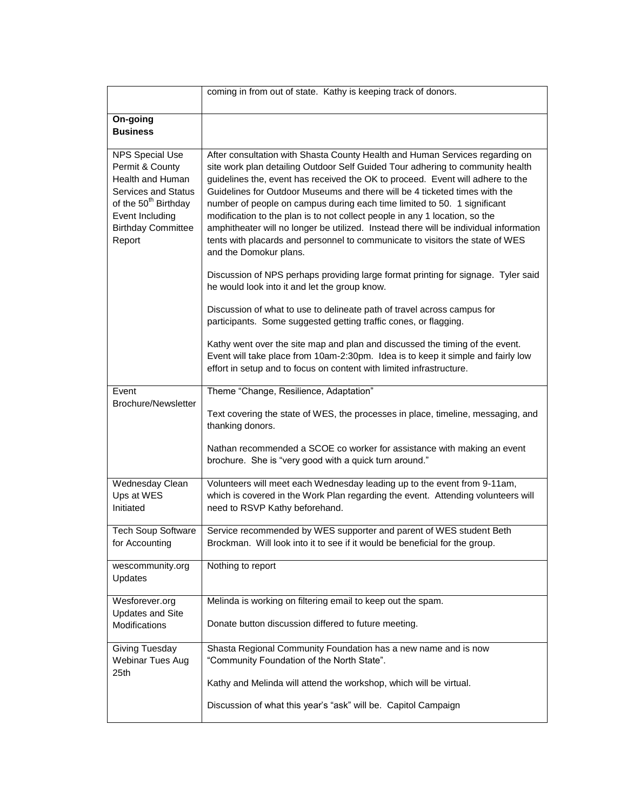|                                                                                                                                                                                           | coming in from out of state. Kathy is keeping track of donors.                                                                                                                                                                                                                                                                                                                                                                                                                                                                                                                                                                                                                                                                                                                                                                                                                                                                                                                                                                                                     |
|-------------------------------------------------------------------------------------------------------------------------------------------------------------------------------------------|--------------------------------------------------------------------------------------------------------------------------------------------------------------------------------------------------------------------------------------------------------------------------------------------------------------------------------------------------------------------------------------------------------------------------------------------------------------------------------------------------------------------------------------------------------------------------------------------------------------------------------------------------------------------------------------------------------------------------------------------------------------------------------------------------------------------------------------------------------------------------------------------------------------------------------------------------------------------------------------------------------------------------------------------------------------------|
| On-going<br><b>Business</b>                                                                                                                                                               |                                                                                                                                                                                                                                                                                                                                                                                                                                                                                                                                                                                                                                                                                                                                                                                                                                                                                                                                                                                                                                                                    |
| <b>NPS Special Use</b><br>Permit & County<br>Health and Human<br><b>Services and Status</b><br>of the 50 <sup>th</sup> Birthday<br>Event Including<br><b>Birthday Committee</b><br>Report | After consultation with Shasta County Health and Human Services regarding on<br>site work plan detailing Outdoor Self Guided Tour adhering to community health<br>guidelines the, event has received the OK to proceed. Event will adhere to the<br>Guidelines for Outdoor Museums and there will be 4 ticketed times with the<br>number of people on campus during each time limited to 50. 1 significant<br>modification to the plan is to not collect people in any 1 location, so the<br>amphitheater will no longer be utilized. Instead there will be individual information<br>tents with placards and personnel to communicate to visitors the state of WES<br>and the Domokur plans.<br>Discussion of NPS perhaps providing large format printing for signage. Tyler said<br>he would look into it and let the group know.<br>Discussion of what to use to delineate path of travel across campus for<br>participants. Some suggested getting traffic cones, or flagging.<br>Kathy went over the site map and plan and discussed the timing of the event. |
|                                                                                                                                                                                           | Event will take place from 10am-2:30pm. Idea is to keep it simple and fairly low<br>effort in setup and to focus on content with limited infrastructure.                                                                                                                                                                                                                                                                                                                                                                                                                                                                                                                                                                                                                                                                                                                                                                                                                                                                                                           |
| Event<br><b>Brochure/Newsletter</b>                                                                                                                                                       | Theme "Change, Resilience, Adaptation"<br>Text covering the state of WES, the processes in place, timeline, messaging, and<br>thanking donors.<br>Nathan recommended a SCOE co worker for assistance with making an event<br>brochure. She is "very good with a quick turn around."                                                                                                                                                                                                                                                                                                                                                                                                                                                                                                                                                                                                                                                                                                                                                                                |
| Wednesday Clean<br>Ups at WES<br>Initiated                                                                                                                                                | Volunteers will meet each Wednesday leading up to the event from 9-11am,<br>which is covered in the Work Plan regarding the event. Attending volunteers will<br>need to RSVP Kathy beforehand.                                                                                                                                                                                                                                                                                                                                                                                                                                                                                                                                                                                                                                                                                                                                                                                                                                                                     |
| <b>Tech Soup Software</b><br>for Accounting                                                                                                                                               | Service recommended by WES supporter and parent of WES student Beth<br>Brockman. Will look into it to see if it would be beneficial for the group.                                                                                                                                                                                                                                                                                                                                                                                                                                                                                                                                                                                                                                                                                                                                                                                                                                                                                                                 |
| wescommunity.org<br>Updates                                                                                                                                                               | Nothing to report                                                                                                                                                                                                                                                                                                                                                                                                                                                                                                                                                                                                                                                                                                                                                                                                                                                                                                                                                                                                                                                  |
| Wesforever.org<br><b>Updates and Site</b><br><b>Modifications</b>                                                                                                                         | Melinda is working on filtering email to keep out the spam.<br>Donate button discussion differed to future meeting.                                                                                                                                                                                                                                                                                                                                                                                                                                                                                                                                                                                                                                                                                                                                                                                                                                                                                                                                                |
| Giving Tuesday<br>Webinar Tues Aug<br>25th                                                                                                                                                | Shasta Regional Community Foundation has a new name and is now<br>"Community Foundation of the North State".<br>Kathy and Melinda will attend the workshop, which will be virtual.<br>Discussion of what this year's "ask" will be. Capitol Campaign                                                                                                                                                                                                                                                                                                                                                                                                                                                                                                                                                                                                                                                                                                                                                                                                               |